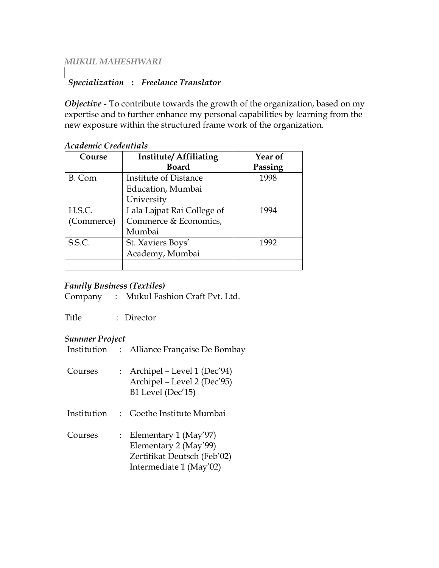## *MUKUL MAHESHWARI*

# *Specialization* **:** *Freelance Translator*

*Objective -* To contribute towards the growth of the organization, based on my expertise and to further enhance my personal capabilities by learning from the new exposure within the structured frame work of the organization.

| Course     | <b>Institute/Affiliating</b> | Year of |
|------------|------------------------------|---------|
|            | <b>Board</b>                 | Passing |
| B. Com     | Institute of Distance        | 1998    |
|            | Education, Mumbai            |         |
|            | University                   |         |
| H.S.C.     | Lala Lajpat Rai College of   | 1994    |
| (Commerce) | Commerce & Economics,        |         |
|            | Mumbai                       |         |
| S.S.C.     | St. Xaviers Boys'            | 1992    |
|            | Academy, Mumbai              |         |
|            |                              |         |

## *Academic Credentials*

## *Family Business (Textiles)*

Company : Mukul Fashion Craft Pvt. Ltd.

Title : Director

#### *Summer Project*

- Institution : Alliance Française De Bombay
- Courses : Archipel Level 1 (Dec'94) Archipel – Level 2 (Dec'95) B1 Level (Dec'15)
- Institution : Goethe Institute Mumbai
- Courses : Elementary 1 (May'97) Elementary 2 (May'99) Zertifikat Deutsch (Feb'02) Intermediate 1 (May'02)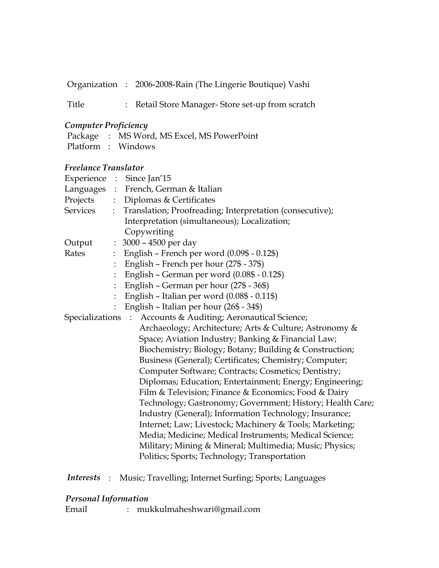Organization : 2006-2008-Rain (The Lingerie Boutique) Vashi

Title : Retail Store Manager- Store set-up from scratch

## *Computer Proficiency*

|  | Package : MS Word, MS Excel, MS PowerPoint |
|--|--------------------------------------------|
|  | Platform : Windows                         |

#### *Freelance Translator*

|          |                      | Experience : Since Jan'15                                    |
|----------|----------------------|--------------------------------------------------------------|
|          |                      | Languages : French, German & Italian                         |
| Projects |                      | : Diplomas & Certificates                                    |
| Services |                      | : Translation; Proofreading; Interpretation (consecutive);   |
|          |                      | Interpretation (simultaneous); Localization;                 |
|          |                      | Copywriting                                                  |
| Output   | $\ddot{\phantom{a}}$ | 3000 – 4500 per day                                          |
| Rates    | $\ddot{\phantom{a}}$ | English - French per word (0.09\$ - 0.12\$)                  |
|          |                      | English - French per hour (27\$ - 37\$)                      |
|          |                      | English - German per word (0.08\$ - 0.12\$)                  |
|          |                      | English - German per hour (27\$ - 36\$)                      |
|          |                      | English - Italian per word (0.08\$ - 0.11\$)                 |
|          |                      | English - Italian per hour (26\$ - 34\$)                     |
|          |                      | Specializations : Accounts & Auditing; Aeronautical Science; |
|          |                      | Archaeology; Architecture; Arts & Culture; Astronomy &       |
|          |                      | Space; Aviation Industry; Banking & Financial Law;           |
|          |                      | Biochemistry; Biology; Botany; Building & Construction;      |
|          |                      | Business (General); Certificates; Chemistry; Computer;       |
|          |                      | Computer Software; Contracts; Cosmetics; Dentistry;          |
|          |                      | Diplomas; Education; Entertainment; Energy; Engineering;     |
|          |                      | Film & Television; Finance & Economics; Food & Dairy         |
|          |                      | Technology; Gastronomy; Government; History; Health Care;    |
|          |                      | Industry (General); Information Technology; Insurance;       |
|          |                      | Internet; Law; Livestock; Machinery & Tools; Marketing;      |
|          |                      | Media; Medicine; Medical Instruments; Medical Science;       |
|          |                      | Military; Mining & Mineral; Multimedia; Music; Physics;      |
|          |                      | Politics; Sports; Technology; Transportation                 |

# *Interests* : Music; Travelling; Internet Surfing; Sports; Languages

# *Personal Information*

Email : mukkulmaheshwari@gmail.com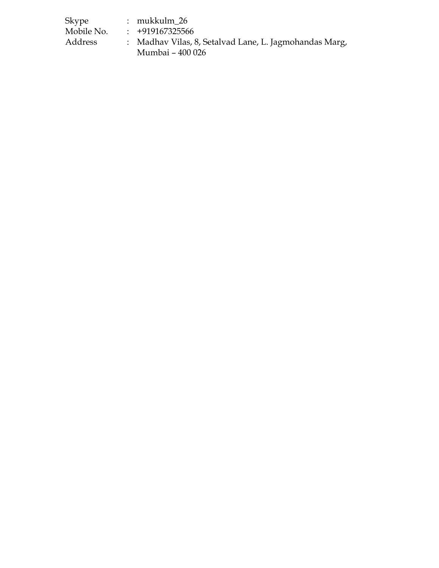| Skype      | $:$ mukkulm 26                                         |
|------------|--------------------------------------------------------|
| Mobile No. | $\div$ +919167325566                                   |
| Address    | : Madhav Vilas, 8, Setalvad Lane, L. Jagmohandas Marg, |
|            | Mumbai - 400 026                                       |